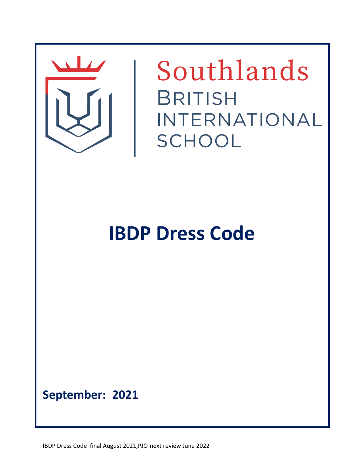

Southlands **BRITISH** INTERNATIONAL SCHOOL

## **IBDP Dress Code**

**September: 2021**

IBDP Dress Code final August 2021,PJO next review June 2022